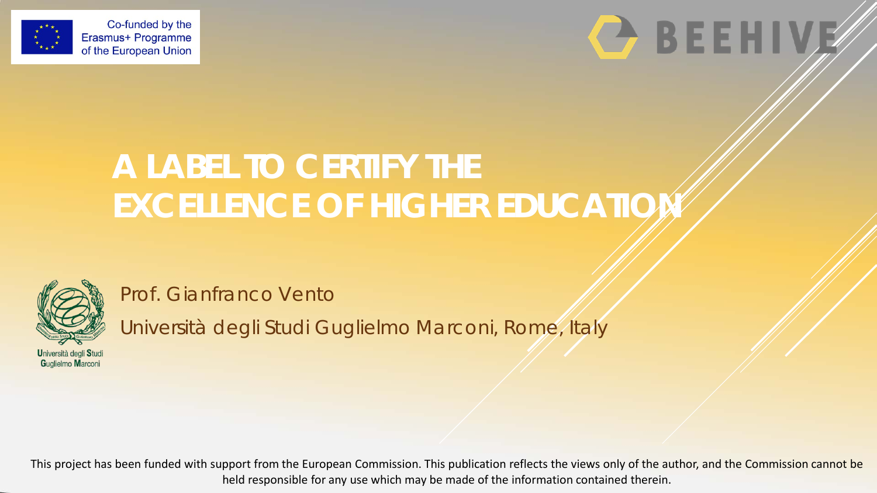



# **A LABEL TO CERTIFY THE EXCELLENCE OF HIGHER EDUCATIO**



Prof. Gianfranco Vento

Università degli Studi Guglielmo Marconi, Rome, Italy

Università degli Studi Guglielmo Marconi

This project has been funded with support from the European Commission. This publication reflects the views only of the author, and the Commission cannot be held responsible for any use which may be made of the information contained therein.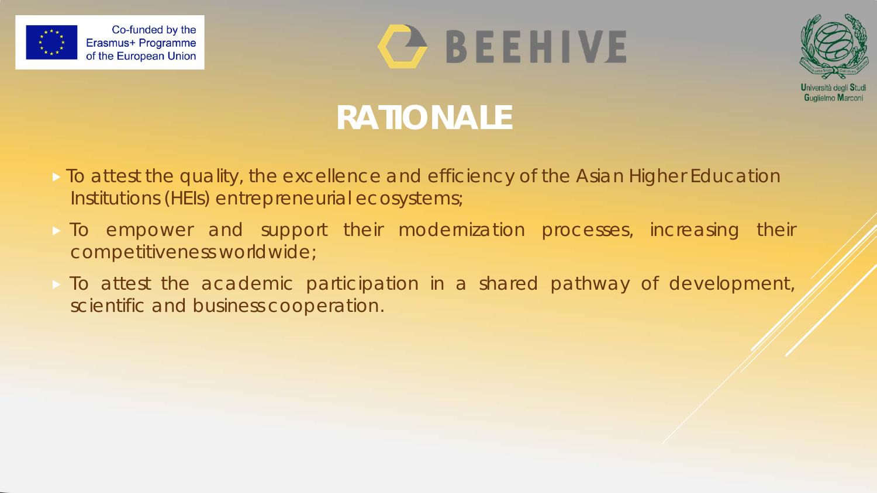





# **RATIONALE**

- To attest the quality, the excellence and efficiency of the Asian Higher Education Institutions (HEIs) entrepreneurial ecosystems;
- To empower and support their modernization processes, increasing their competitiveness worldwide;
- To attest the academic participation in a shared pathway of development, scientific and business cooperation.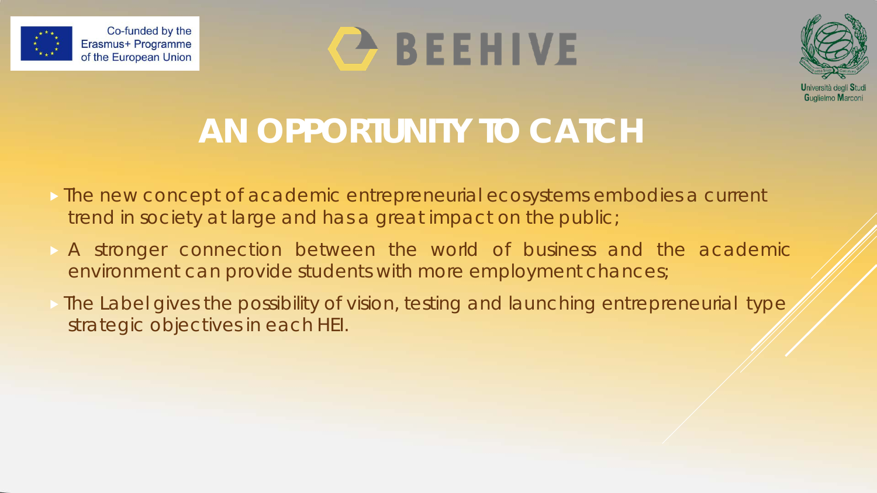





# **AN OPPORTUNITY TO CATCH**

- The new concept of academic entrepreneurial ecosystems embodies a current trend in society at large and has a great impact on the public;
- A stronger connection between the world of business and the academic environment can provide students with more employment chances;
- The Label gives the possibility of vision, testing and launching entrepreneurial type strategic objectives in each HEI.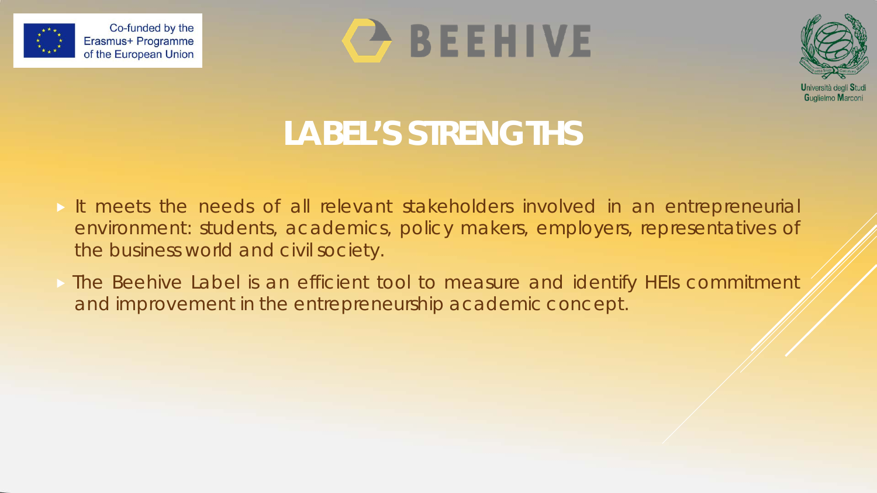





# **LABEL'S STRENGTHS**

- It meets the needs of all relevant stakeholders involved in an entrepreneurial environment: students, academics, policy makers, employers, representatives of the business world and civil society.
- **The Beehive Label is an efficient tool to measure and identify HEIs commitment** and improvement in the entrepreneurship academic concept.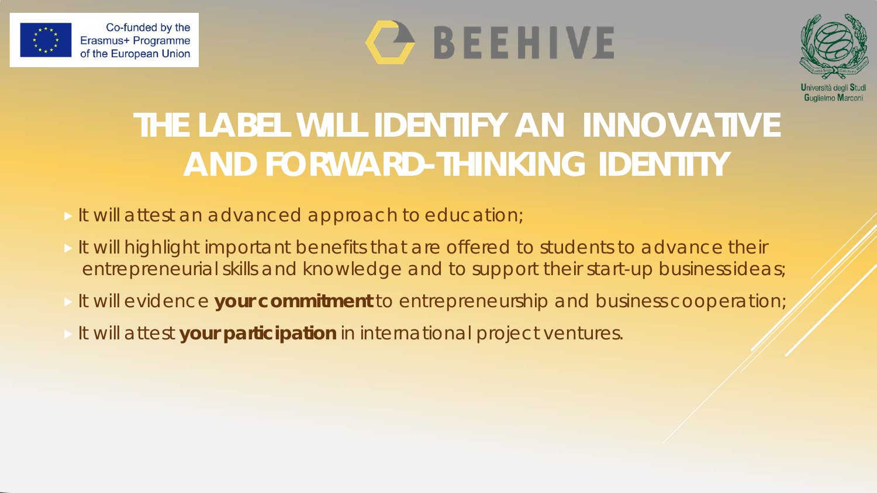





# **THE LABEL WILL IDENTIFY AN INNOVATIVE AND FORWARD-THINKING IDENTITY**

- It will attest an advanced approach to education;
- It will highlight important benefits that are offered to students to advance their entrepreneurial skills and knowledge and to support their start-up businessideas;
- It will evidence **your commitment** to entrepreneurship and business cooperation;
- It will attest **your participation** in international project ventures.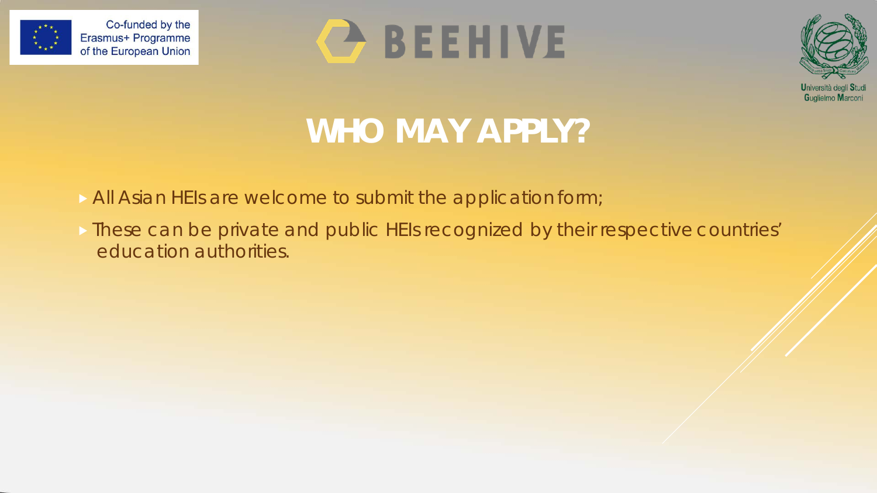





# **WHO MAY APPLY?**

- All Asian HEIs are welcome to submit the application form;
- **These can be private and public HEIs recognized by their respective countries'** education authorities.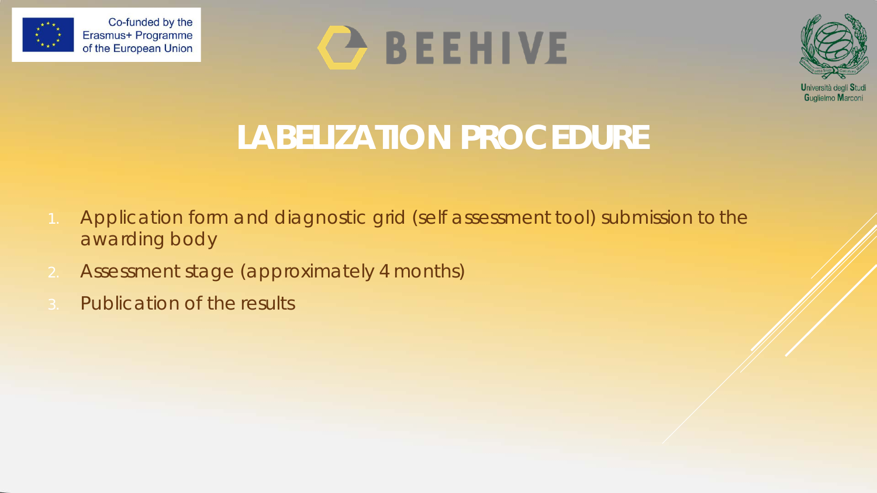





# **LABELIZATION PROCEDURE**

- *1. Application form and diagnostic grid (self assessment tool) submission* to the awarding body
- *2. Assessment stage* (approximately 4 months)
- *3. Publication of the results*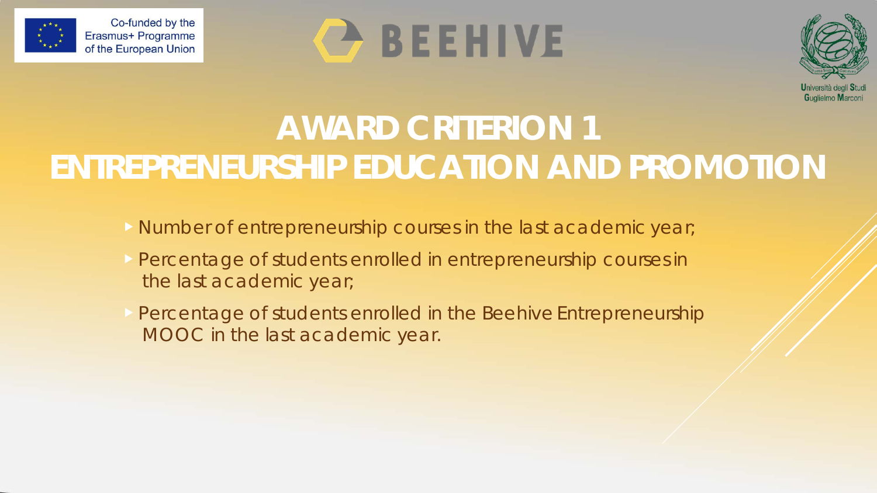

# **BEEHIVE**



# **AWARD CRITERION 1 ENTREPRENEURSHIP EDUCATION AND PROMOTION**

- Number of entrepreneurship courses in the last academic year;
- Percentage of students enrolled in entrepreneurship courses in the last academic year;
- Percentage of students enrolled in the Beehive Entrepreneurship MOOC in the last academic year.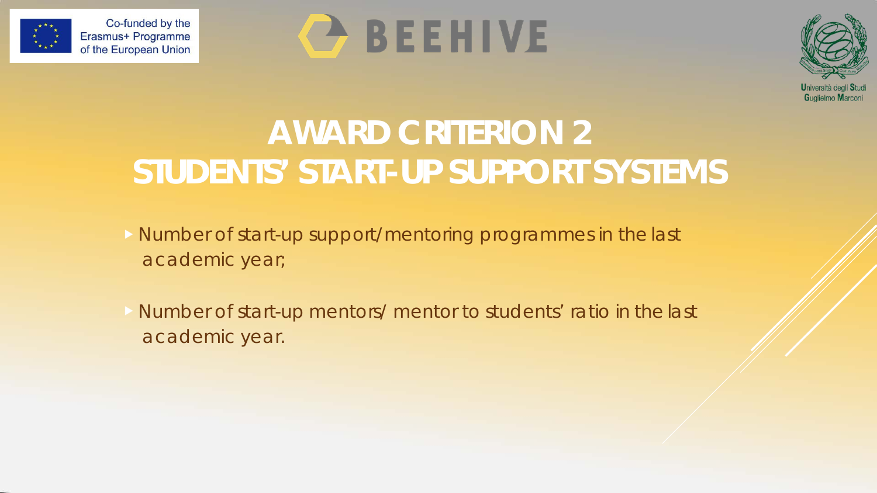





## **AWARD CRITERION 2 STUDENTS' START-UP SUPPORT SYSTEMS**

- Number of start-up support/mentoring programmes in the last academic year;
- Number of start-up mentors/ mentor to students' ratio in the last academic year.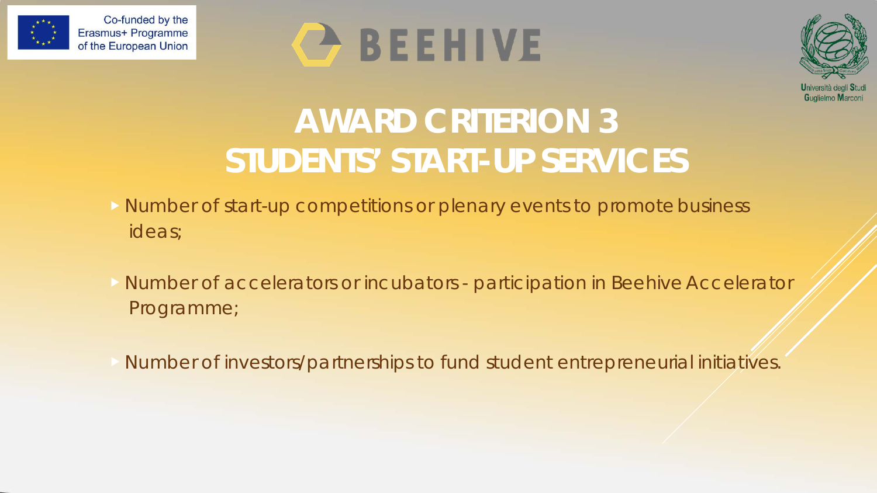





## **AWARD CRITERION 3 STUDENTS' START-UP SERVICES**

- Number of start-up competitions or plenary events to promote business ideas;
- Number of accelerators or incubators participation in Beehive Accelerator Programme;
- Number of investors/partnerships to fund student entrepreneurial initiatives.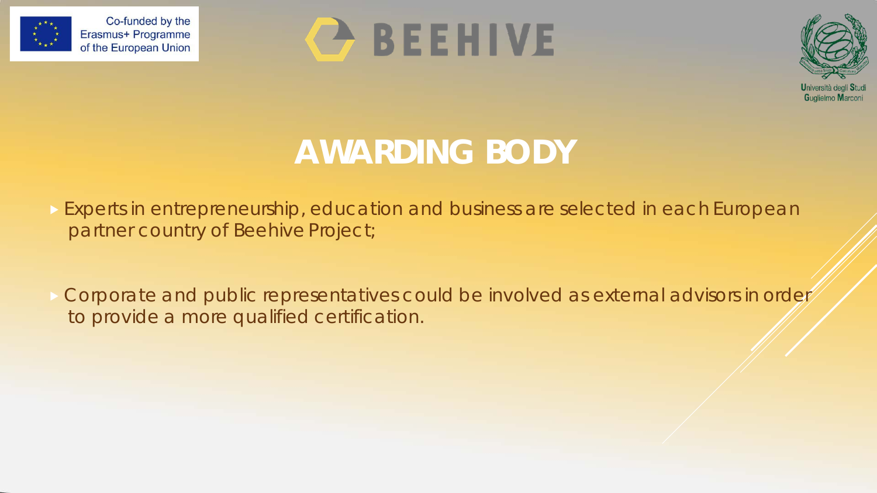





## **AWARDING BODY**

**Experts in entrepreneurship, education and business are selected in each European** partner country of Beehive Project;

 Corporate and public representatives could be involved as external advisors in order to provide a more qualified certification.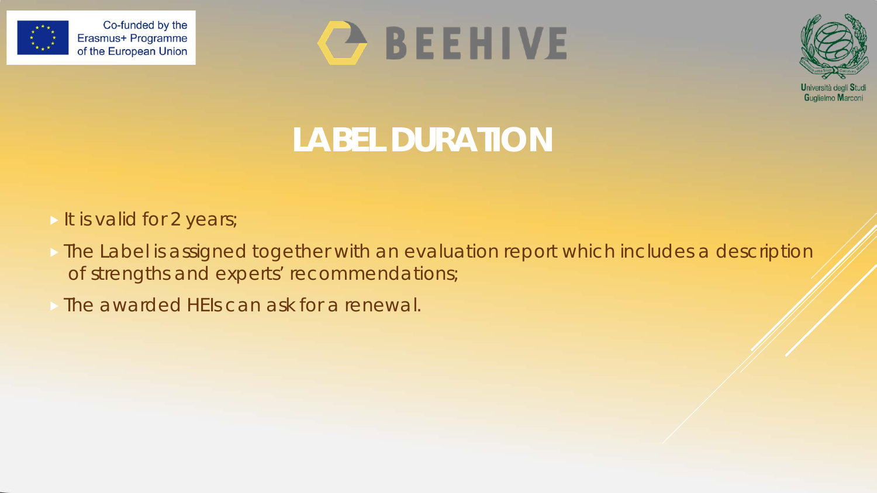





**LABEL DURATION**

- It is valid for 2 years;
- $\triangleright$  The Label is assigned together with an evaluation report which includes a description of strengths and experts' recommendations;
- The awarded HEIs can ask for a renewal.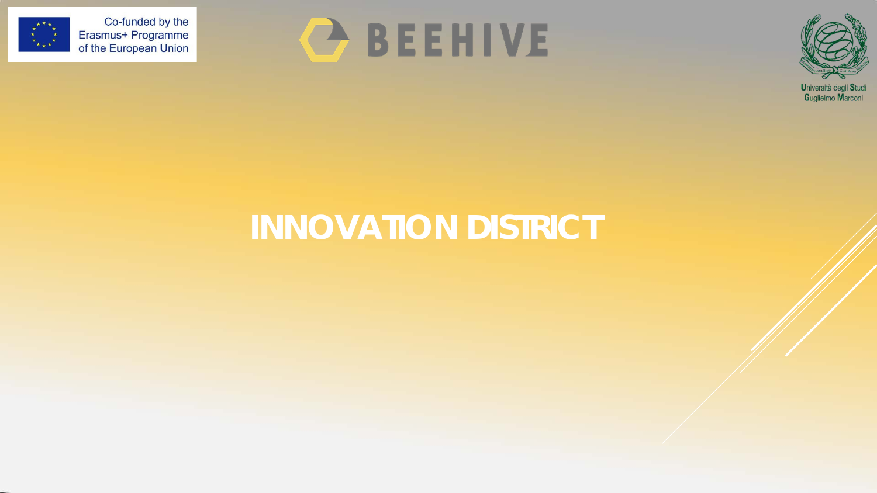

# **C BEEHIVE**



## **INNOVATION DISTRICT**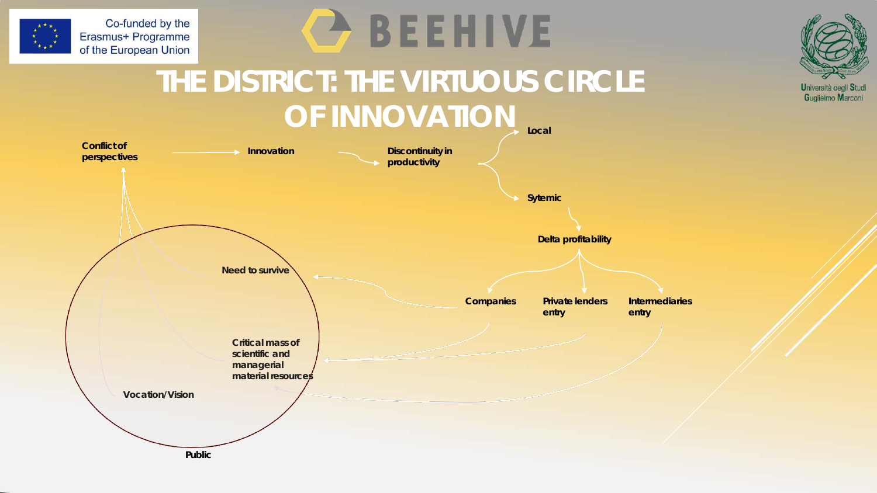





### **THE DISTRICT: THE VIRTUOUS CIRCLE OF INNOVATION**

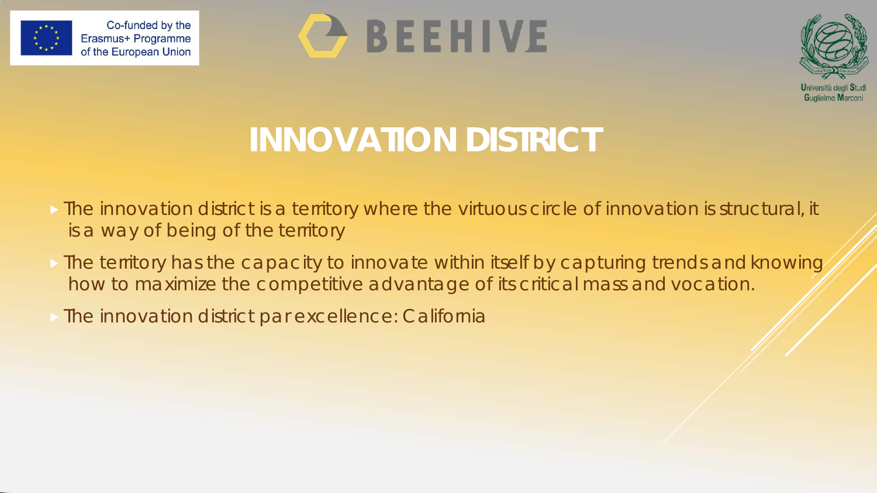





# **INNOVATION DISTRICT**

- **The innovation district is a territory where the virtuous circle of innovation is structural, it** is a way of being of the territory
- **If the territory has the capacity to innovate within itself by capturing trends and knowing** how to maximize the competitive advantage of its critical mass andvocation.
- The innovation district par excellence: California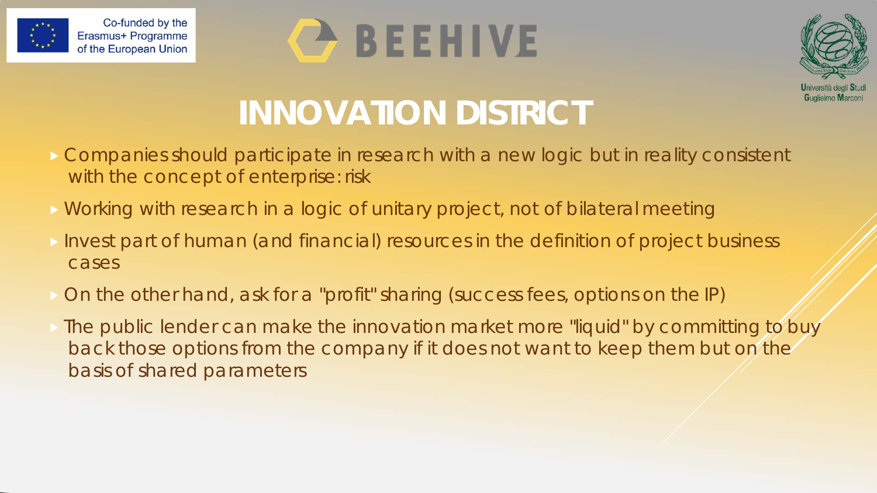

# BEEHIVE



# **INNOVATION DISTRICT**

- Companies should participate in research with a new logic but in reality consistent with the concept of enterprise: risk
- **Norking with research in a logic of unitary project, not of bilateral meeting**
- Invest part of human (and financial) resources in the definition of project business cases
- On the other hand, ask for a "profit" sharing (success fees, options on the IP)
- The public lender can make the innovation market more "liquid" by committing to buy back those options from the company if it does not want to keep them but on the basis of shared parameters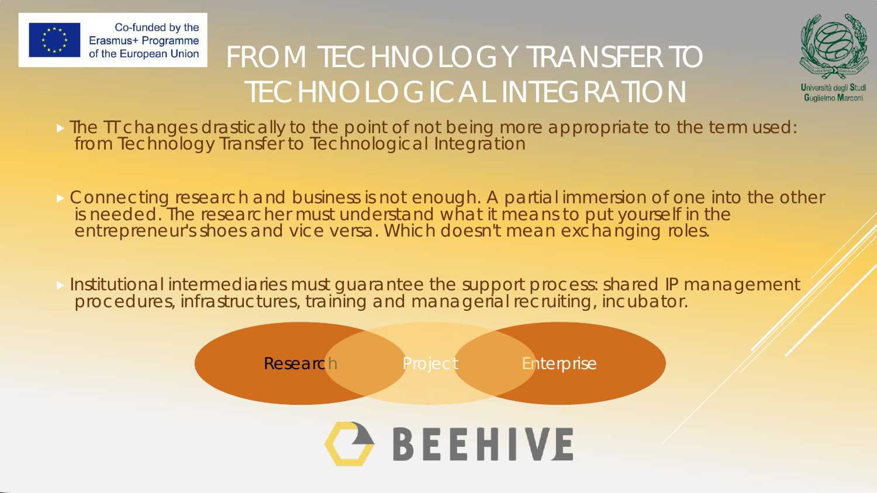

## FROM TECHNOLOGY TRANSFER TO TECHNOLOGICAL INTEGRATION



- The TT changes drastically to the point of not being more appropriate to the term used: from Technology Transfer to Technological Integration
- **Connecting research and business is not enough. A partial immersion of one into the other** is needed. The researcher must understand what it means to put yourself in the entrepreneur's shoes and vice versa. Which doesn't mean exchanging roles.
- Institutional intermediaries must guarantee the support process: shared IP management procedures, infrastructures, training and managerial recruiting, incubator.

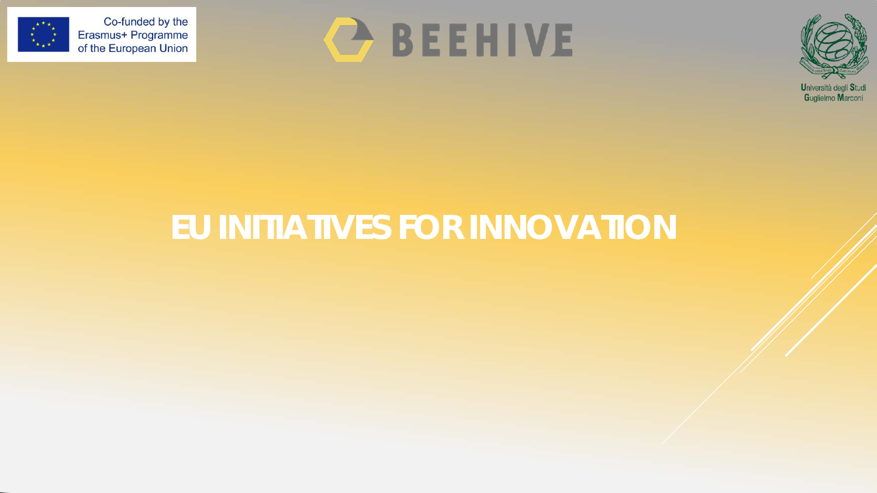





Guglielmo Marconi

## **EU INITIATIVES FOR INNOVATION**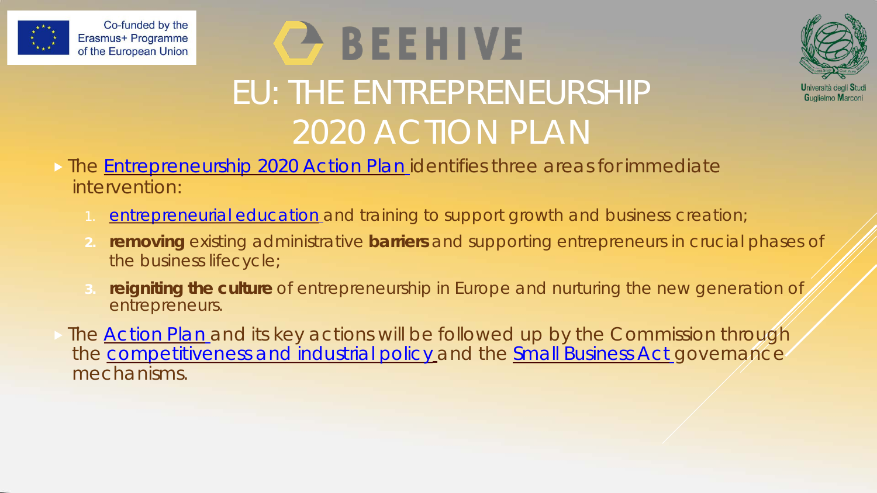

# **BEEHIVE** EU: THE ENTREPRENEURSHIP 2020 ACTION PLAN



#### **The [Entrepreneurship 2020 Action Plan](http://eur-lex.europa.eu/legal-content/EN/TXT/?uri=CELEX:52012DC0795&locale=en) identifies three areas for immediate** intervention:

- [entrepreneurial education](https://ec.europa.eu/growth/smes/promoting-entrepreneurship/support/education_en) and training to support growth and business creation;
- **2. removing** existing administrative **barriers** and supporting entrepreneurs in crucial phases of the business lifecycle;
- **3. reigniting the culture** of entrepreneurship in Europe and nurturing the new generation of entrepreneurs.
- The **[Action Plan](http://eur-lex.europa.eu/legal-content/EN/TXT/?uri=CELEX:52012DC0795&locale=en)** and its key actions will be followed up by the Commission through the [competitiveness and industrial policy](https://ec.europa.eu/growth/industry_en) and the [Small Business Act](https://ec.europa.eu/growth/smes/business-friendly-environment/small-business-act_en) governance mechanisms.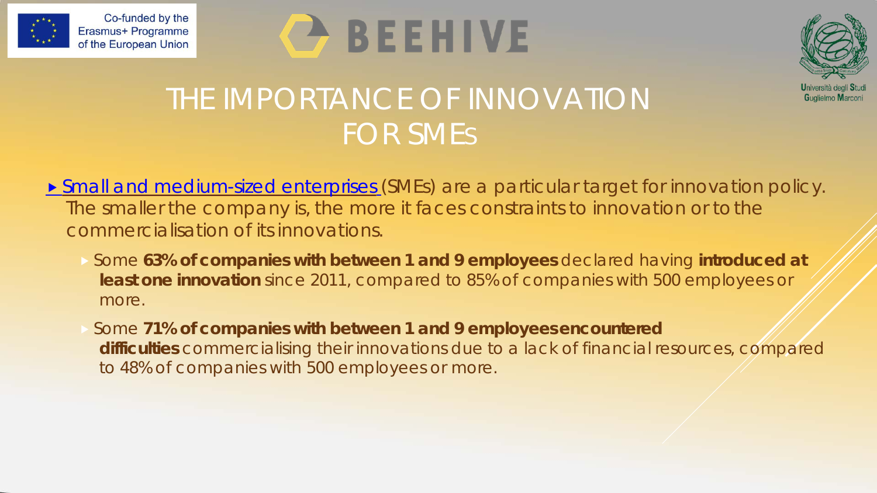





### THE IMPORTANCE OF INNOVATION FOR SMES

- **[Small and medium-sized enterprises](https://ec.europa.eu/growth/smes_en)** (SMEs) are a particular target for innovation policy. The smaller the company is, the more it faces constraints to innovation or tothe commercialisation of its innovations.
	- Some **63% of companies with between 1 and 9 employees** declared having **introduced at least one innovation** since 2011, compared to 85% of companies with 500 employees or more.
	- Some 71% of companies with between 1 and 9 employees encountered difficulties commercialising their innovations due to a lack of financial resources, compared to 48% of companies with 500 employees or more.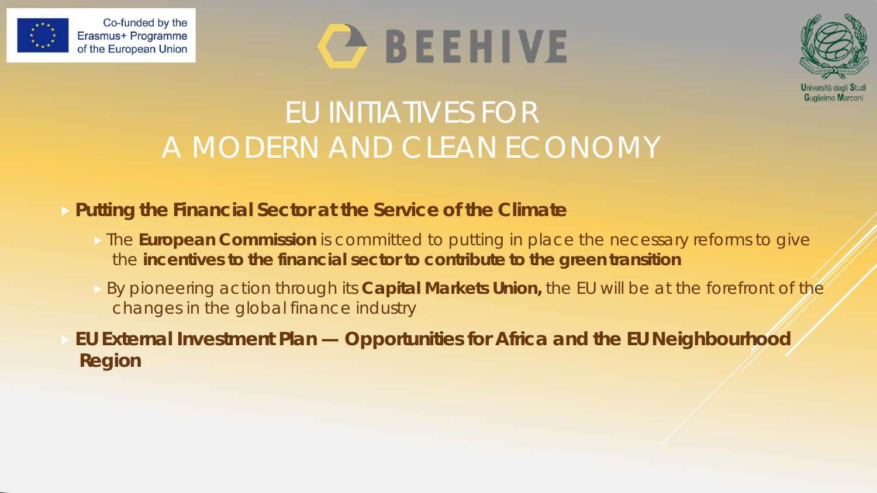





### EU INITIATIVES FOR A MODERN AND CLEAN ECONOMY

#### **Putting the Financial Sector at the Service of the Climate**

- **The European Commission** is committed to putting in place the necessary reforms to give the **incentives to the financial sector to contribute to the green transition**
- By pioneering action through its **Capital Markets Union,** the EU will be at the forefront of the changes in the global finance industry

 **EU External Investment Plan — Opportunities for Africa and the EU Neighbourhood Region**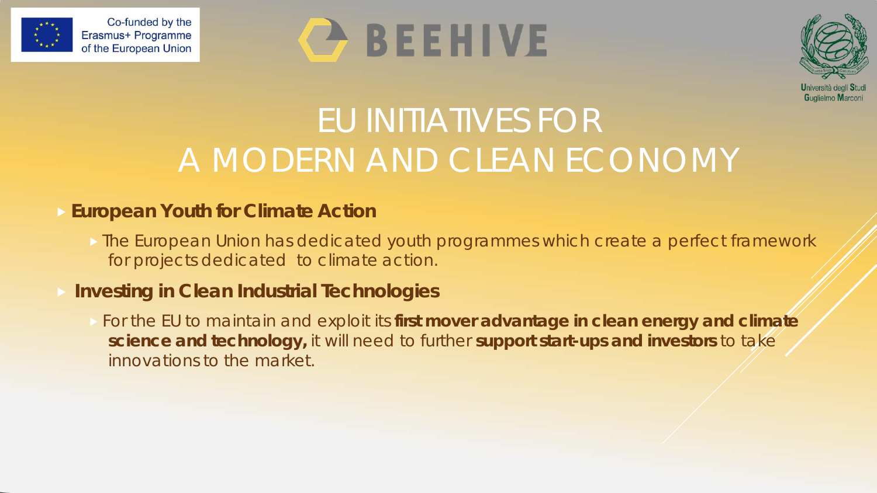

# **C** BEEHIVE



## EU INITIATIVES FOR A MODERN AND CLEAN ECONOMY

#### **European Youth for Climate Action**

**The European Union has dedicated youth programmes which create a perfect framework** for projects dedicated to climate action.

#### **Investing in Clean Industrial Technologies**

 For the EU to maintain and exploit its **first mover advantage in clean energy and climate science and technology,** it will need to further **support start-ups and investors** to take innovations to the market.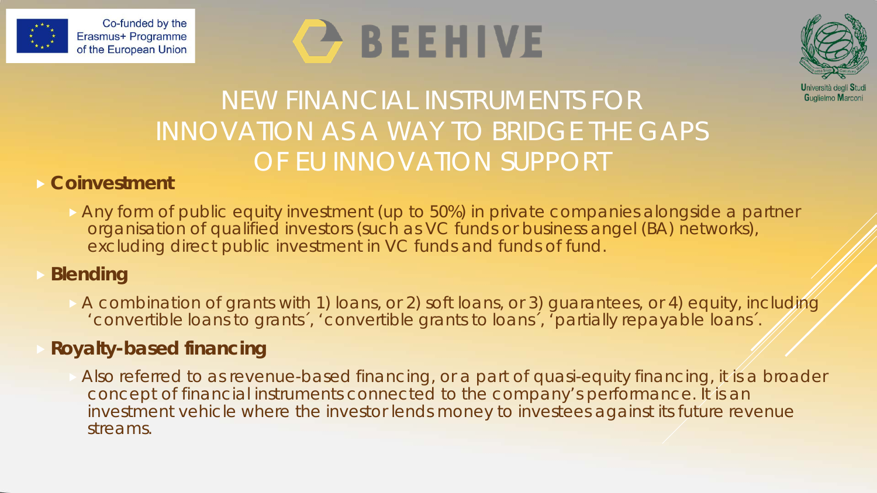

# BEEHIVE



### NEW FINANCIAL INSTRUMENTS FOR INNOVATION AS A WAY TO BRIDGE THE GAPS OF EU INNOVATION SUPPORT

#### **Coinvestment**

Any form of public equity investment (up to 50%) in private companies alongside a partner organisation of qualified investors (such as VC funds or business angel (BA) networks), excluding direct public investment in VC funds and funds of fund.

### **Blending**

 A combination of grants with 1) loans, or 2) soft loans, or 3) guarantees, or 4) equity, including 'convertible loans to grants´, 'convertible grants to loans´, 'partially repayable loans´.

### **Royalty-based financing**

 Also referred to as revenue-based financing, or a part of quasi-equity financing, it is a broader concept of financial instruments connected to the company's performance. It is an investment vehicle where the investor lends money to investees against its future revenue streams.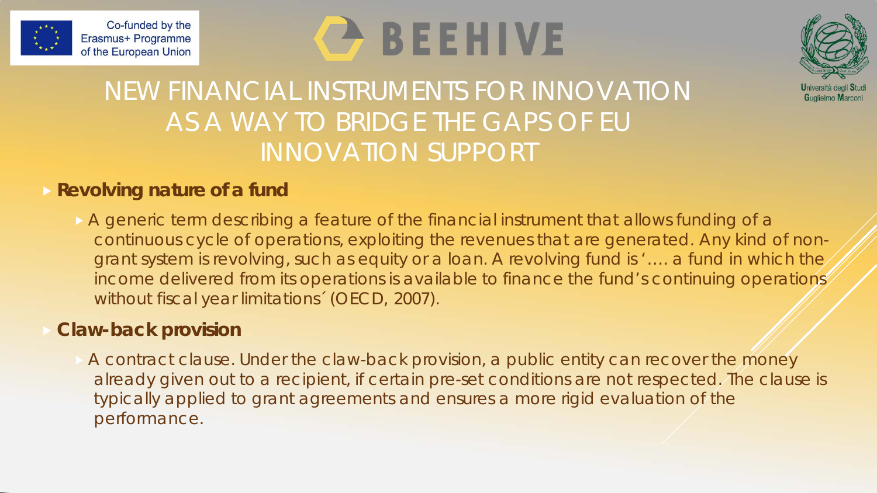

# **BEEHIVE**



### NEW FINANCIAL INSTRUMENTS FOR INNOVATION AS A WAY TO BRIDGE THE GAPS OF EU INNOVATION SUPPORT

#### **Revolving nature of a fund**

A generic term describing a feature of the financial instrument that allows funding of a continuous cycle of operations, exploiting the revenues that are generated. Any kind of nongrant system is revolving, such as equity or a loan. A revolving fund is '…. a fund in which the income delivered from its operations is available to finance the fund's continuing operations without fiscal year limitations´ (OECD, 2007).

#### **Claw-back provision**

 A contract clause. Under the claw-back provision, a public entity can recover the money already given out to a recipient, if certain pre-set conditions are not respected. The clause is typically applied to grant agreements and ensures a more rigid evaluation of the performance.